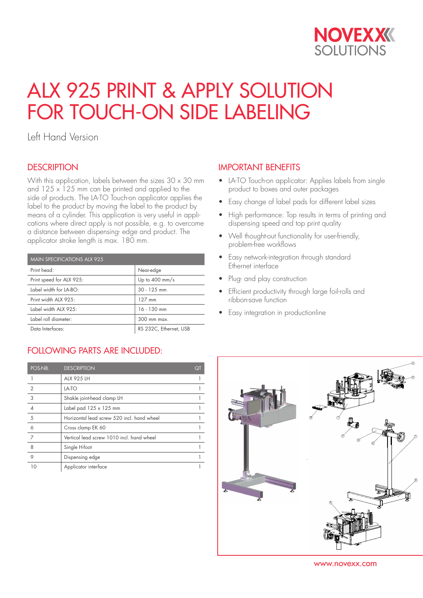

# ALX 925 PRINT & APPLY SOLUTION FOR TOUCH-ON SIDE LABELING

Left Hand Version

## **DESCRIPTION**

With this application, labels between the sizes  $30 \times 30$  mm and  $125 \times 125$  mm can be printed and applied to the side of products. The LA-TO Touch-on applicator applies the label to the product by moving the label to the product by means of a cylinder. This application is very useful in applications where direct apply is not possible, e.g. to overcome a distance between dispensing- edge and product. The applicator stroke length is max. 180 mm.

| <b>MAIN SPECIFICATIONS ALX 925</b> |                          |  |
|------------------------------------|--------------------------|--|
| Print head:                        | Near-edge                |  |
| Print speed for ALX 925:           | Up to $400 \text{ mm/s}$ |  |
| Label width for LA-BO:             | $30 - 125$ mm            |  |
| Print width ALX 925:               | $127$ mm                 |  |
| Label width ALX 925:               | $16 - 130$ mm            |  |
| Label roll diameter:               | $300$ mm max.            |  |
| Data Interfaces:                   | RS 232C, Ethernet, USB   |  |

## FOLLOWING PARTS ARE INCLUDED:

| POS-NB.        | <b>DESCRIPTION</b>                         | QT |
|----------------|--------------------------------------------|----|
|                | <b>ALX 925 LH</b>                          |    |
| $\overline{2}$ | LA-TO                                      |    |
| 3              | Shakle joint-head clamp LH                 |    |
|                | Label pad $125 \times 125$ mm              |    |
| 5              | Horizontal lead screw 520 incl. hand wheel |    |
| 6              | Cross clamp EK 60                          |    |
| 7              | Vertical lead screw 1010 incl. hand wheel  |    |
| 8              | Single H-foot                              |    |
| 9              | Dispensing edge                            |    |
| 10             | Applicator interface                       |    |

## IMPORTANT BENEFITS

- LA-TO Touch-on applicator: Applies labels from single product to boxes and outer packages
- Easy change of label pads for different label sizes
- High performance: Top results in terms of printing and dispensing speed and top print quality
- Well thought-out functionality for user-friendly, problem-free workflows
- Easy network-integration through standard Ethernet interface
- Plug- and play construction
- Efficient productivity through large foil-rolls and ribbon-save function
- Easy integration in productionline



www.novexx.com